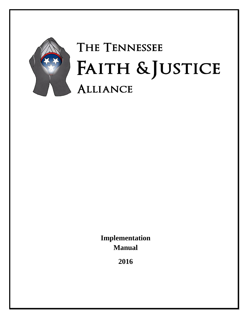

# THE TENNESSEE FAITH & JUSTICE **ALLIANCE**

**Implementation Manual**

**2016**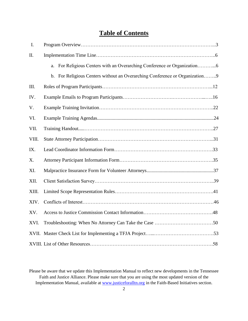# **Table of Contents**

| I.    |                                                                             |  |
|-------|-----------------------------------------------------------------------------|--|
| II.   |                                                                             |  |
|       |                                                                             |  |
|       | b. For Religious Centers without an Overarching Conference or Organization9 |  |
| III.  |                                                                             |  |
| IV.   |                                                                             |  |
| V.    |                                                                             |  |
| VI.   |                                                                             |  |
| VII.  |                                                                             |  |
| VIII. |                                                                             |  |
| IX.   |                                                                             |  |
| X.    |                                                                             |  |
| XI.   |                                                                             |  |
| XII.  |                                                                             |  |
| XIII. |                                                                             |  |
| XIV.  |                                                                             |  |
| XV.   |                                                                             |  |
| XVI.  |                                                                             |  |
|       |                                                                             |  |
|       |                                                                             |  |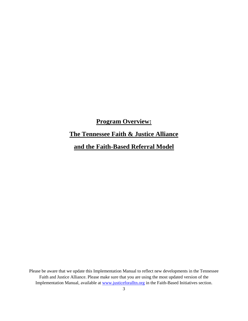# **Program Overview:**

# **The Tennessee Faith & Justice Alliance**

# **and the Faith-Based Referral Model**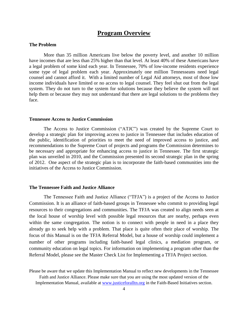### **Program Overview**

### **The Problem**

More than 35 million Americans live below the poverty level, and another 10 million have incomes that are less than 25% higher than that level. At least 40% of these Americans have a legal problem of some kind each year. In Tennessee, 70% of low-income residents experience some type of legal problem each year. Approximately one million Tennesseans need legal counsel and cannot afford it. With a limited number of Legal Aid attorneys, most of those low income individuals have limited or no access to legal counsel. They feel shut out from the legal system. They do not turn to the system for solutions because they believe the system will not help them or because they may not understand that there are legal solutions to the problems they face.

#### **Tennessee Access to Justice Commission**

The Access to Justice Commission ("ATJC") was created by the Supreme Court to develop a strategic plan for improving access to justice in Tennessee that includes education of the public, identification of priorities to meet the need of improved access to justice, and recommendations to the Supreme Court of projects and programs the Commission determines to be necessary and appropriate for enhancing access to justice in Tennessee. The first strategic plan was unveiled in 2010, and the Commission presented its second strategic plan in the spring of 2012. One aspect of the strategic plan is to incorporate the faith-based communities into the initiatives of the Access to Justice Commission.

### **The Tennessee Faith and Justice Alliance**

The Tennessee Faith and Justice Alliance ("TFJA") is a project of the Access to Justice Commission. It is an alliance of faith-based groups in Tennessee who commit to providing legal resources to their congregations and communities. The TFJA was created to align needs seen at the local house of worship level with possible legal resources that are nearby, perhaps even within the same congregation. The notion is to connect with people in need in a place they already go to seek help with a problem. That place is quite often their place of worship. The focus of this Manual is on the TFJA Referral Model, but a house of worship could implement a number of other programs including faith-based legal clinics, a mediation program, or community education on legal topics. For information on implementing a program other than the Referral Model, please see the Master Check List for Implementing a TFJA Project section.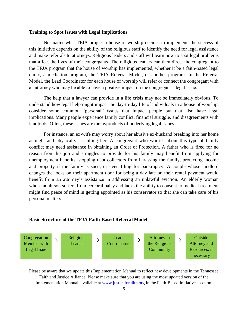### **Training to Spot Issues with Legal Implications**

No matter what TFJA project a house of worship decides to implement, the success of this initiative depends on the ability of the religious staff to identify the need for legal assistance and make referrals to attorneys. Religious leaders and staff will learn how to spot legal problems that affect the lives of their congregants. The religious leaders can then direct the congregant to the TFJA program that the house of worship has implemented, whether it be a faith-based legal clinic, a mediation program, the TFJA Referral Model, or another program. In the Referral Model, the Lead Coordinator for each house of worship will refer or connect the congregant with an attorney who may be able to have a positive impact on the congregant's legal issue.

The help that a lawyer can provide in a life crisis may not be immediately obvious. To understand how legal help might impact the day-to-day life of individuals in a house of worship, consider some common "personal" issues that impact people but that also have legal implications. Many people experience family conflict, financial struggle, and disagreements with landlords. Often, these issues are the byproducts of underlying legal issues.

For instance, an ex-wife may worry about her abusive ex-husband breaking into her home at night and physically assaulting her. A congregant who worries about this type of family conflict may need assistance in obtaining an Order of Protection. A father who is fired for no reason from his job and struggles to provide for his family may benefit from applying for unemployment benefits, stopping debt collectors from harassing the family, protecting income and property if the family is sued, or even filing for bankruptcy. A couple whose landlord changes the locks on their apartment door for being a day late on their rental payment would benefit from an attorney's assistance in addressing an unlawful eviction. An elderly woman whose adult son suffers from cerebral palsy and lacks the ability to consent to medical treatment might find peace of mind in getting appointed as his conservator so that she can take care of his personal matters.

#### **Basic Structure of the TFJA Faith-Based Referral Model**

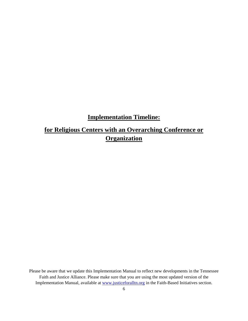# **Implementation Timeline:**

# **for Religious Centers with an Overarching Conference or Organization**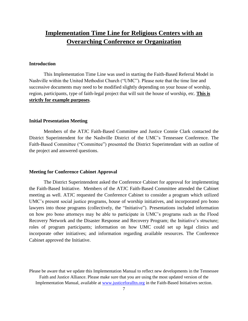# **Implementation Time Line for Religious Centers with an Overarching Conference or Organization**

### **Introduction**

This Implementation Time Line was used in starting the Faith-Based Referral Model in Nashville within the United Methodist Church ("UMC"). Please note that the time line and successive documents may need to be modified slightly depending on your house of worship, region, participants, type of faith-legal project that will suit the house of worship, etc. **This is strictly for example purposes**.

### **Initial Presentation Meeting**

Members of the ATJC Faith-Based Committee and Justice Connie Clark contacted the District Superintendent for the Nashville District of the UMC's Tennessee Conference. The Faith-Based Committee ("Committee") presented the District Superintendant with an outline of the project and answered questions.

### **Meeting for Conference Cabinet Approval**

The District Superintendent asked the Conference Cabinet for approval for implementing the Faith-Based Initiative. Members of the ATJC Faith-Based Committee attended the Cabinet meeting as well. ATJC requested the Conference Cabinet to consider a program which utilized UMC's present social justice programs, house of worship initiatives, and incorporated pro bono lawyers into those programs (collectively, the "Initiative"). Presentations included information on how pro bono attorneys may be able to participate in UMC's programs such as the Flood Recovery Network and the Disaster Response and Recovery Program; the Initiative's structure; roles of program participants; information on how UMC could set up legal clinics and incorporate other initiatives; and information regarding available resources. The Conference Cabinet approved the Initiative.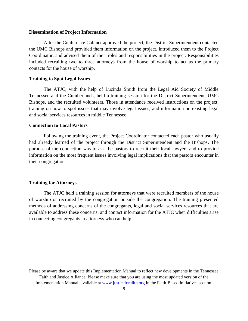#### **Dissemination of Project Information**

After the Conference Cabinet approved the project, the District Superintendent contacted the UMC Bishops and provided them information on the project, introduced them to the Project Coordinator, and advised them of their roles and responsibilities in the project. Responsibilities included recruiting two to three attorneys from the house of worship to act as the primary contacts for the house of worship.

### **Training to Spot Legal Issues**

The ATJC, with the help of Lucinda Smith from the Legal Aid Society of Middle Tennessee and the Cumberlands, held a training session for the District Superintendent, UMC Bishops, and the recruited volunteers. Those in attendance received instructions on the project, training on how to spot issues that may involve legal issues, and information on existing legal and social services resources in middle Tennessee.

#### **Connection to Local Pastors**

Following the training event, the Project Coordinator contacted each pastor who usually had already learned of the project through the District Superintendent and the Bishops. The purpose of the connection was to ask the pastors to recruit their local lawyers and to provide information on the most frequent issues involving legal implications that the pastors encounter in their congregation.

### **Training for Attorneys**

The ATJC held a training session for attorneys that were recruited members of the house of worship or recruited by the congregation outside the congregation. The training presented methods of addressing concerns of the congregants, legal and social services resources that are available to address these concerns, and contact information for the ATJC when difficulties arise in connecting congregants to attorneys who can help.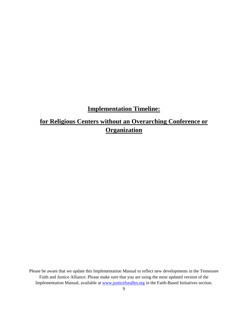# **Implementation Timeline:**

# **for Religious Centers without an Overarching Conference or Organization**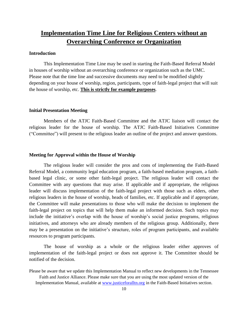# **Implementation Time Line for Religious Centers without an Overarching Conference or Organization**

### **Introduction**

This Implementation Time Line may be used in starting the Faith-Based Referral Model in houses of worship without an overarching conference or organization such as the UMC. Please note that the time line and successive documents may need to be modified slightly depending on your house of worship, region, participants, type of faith-legal project that will suit the house of worship, etc. **This is strictly for example purposes**.

### **Initial Presentation Meeting**

Members of the ATJC Faith-Based Committee and the ATJC liaison will contact the religious leader for the house of worship. The ATJC Faith-Based Initiatives Committee ("Committee") will present to the religious leader an outline of the project and answer questions.

### **Meeting for Approval within the House of Worship**

The religious leader will consider the pros and cons of implementing the Faith-Based Referral Model, a community legal education program, a faith-based mediation program, a faithbased legal clinic, or some other faith-legal project. The religious leader will contact the Committee with any questions that may arise. If applicable and if appropriate, the religious leader will discuss implementation of the faith-legal project with those such as elders, other religious leaders in the house of worship, heads of families, etc. If applicable and if appropriate, the Committee will make presentations to those who will make the decision to implement the faith-legal project on topics that will help them make an informed decision. Such topics may include the initiative's overlap with the house of worship's social justice programs, religious initiatives, and attorneys who are already members of the religious group. Additionally, there may be a presentation on the initiative's structure, roles of program participants, and available resources to program participants.

The house of worship as a whole or the religious leader either approves of implementation of the faith-legal project or does not approve it. The Committee should be notified of the decision.

Please be aware that we update this Implementation Manual to reflect new developments in the Tennessee Faith and Justice Alliance. Please make sure that you are using the most updated version of the Implementation Manual, available at www.justiceforalltn.org in the Faith-Based Initiatives section.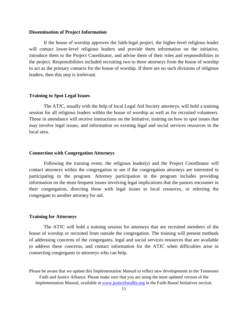#### **Dissemination of Project Information**

If the house of worship approves the faith-legal project, the higher-level religious leader will contact lower-level religious leaders and provide them information on the initiative, introduce them to the Project Coordinator, and advise them of their roles and responsibilities in the project. Responsibilities included recruiting two to three attorneys from the house of worship to act as the primary contacts for the house of worship. If there are no such divisions of religious leaders, then this step is irrelevant.

### **Training to Spot Legal Issues**

The ATJC, usually with the help of local Legal Aid Society attorneys, will hold a training session for all religious leaders within the house of worship as well as for recruited volunteers. Those in attendance will receive instructions on the Initiative, training on how to spot issues that may involve legal issues, and information on existing legal and social services resources in the local area.

#### **Connection with Congregation Attorneys**

Following the training event, the religious leader(s) and the Project Coordinator will contact attorneys within the congregation to see if the congregation attorneys are interested in participating in the program. Attorney participation in the program includes providing information on the most frequent issues involving legal implications that the pastors encounter in their congregation, directing those with legal issues to local resources, or referring the congregant to another attorney for aid.

#### **Training for Attorneys**

The ATJC will hold a training session for attorneys that are recruited members of the house of worship or recruited from outside the congregation. The training will present methods of addressing concerns of the congregants, legal and social services resources that are available to address these concerns, and contact information for the ATJC when difficulties arise in connecting congregants to attorneys who can help.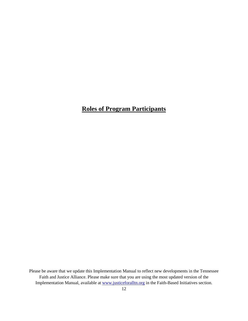# **Roles of Program Participants**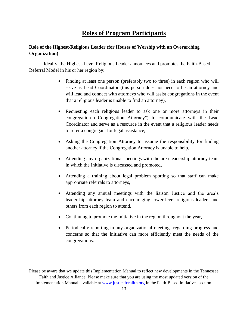### **Roles of Program Participants**

### **Role of the Highest-Religious Leader (for Houses of Worship with an Overarching Organization)**

Ideally, the Highest-Level Religious Leader announces and promotes the Faith-Based Referral Model in his or her region by:

- Finding at least one person (preferably two to three) in each region who will serve as Lead Coordinator (this person does not need to be an attorney and will lead and connect with attorneys who will assist congregations in the event that a religious leader is unable to find an attorney),
- Requesting each religious leader to ask one or more attorneys in their congregation ("Congregation Attorney") to communicate with the Lead Coordinator and serve as a resource in the event that a religious leader needs to refer a congregant for legal assistance,
- Asking the Congregation Attorney to assume the responsibility for finding another attorney if the Congregation Attorney is unable to help,
- Attending any organizational meetings with the area leadership attorney team in which the Initiative is discussed and promoted,
- Attending a training about legal problem spotting so that staff can make appropriate referrals to attorneys,
- Attending any annual meetings with the liaison Justice and the area's leadership attorney team and encouraging lower-level religious leaders and others from each region to attend,
- Continuing to promote the Initiative in the region throughout the year,
- Periodically reporting in any organizational meetings regarding progress and concerns so that the Initiative can more efficiently meet the needs of the congregations.

Please be aware that we update this Implementation Manual to reflect new developments in the Tennessee Faith and Justice Alliance. Please make sure that you are using the most updated version of the Implementation Manual, available at www.justiceforalltn.org in the Faith-Based Initiatives section.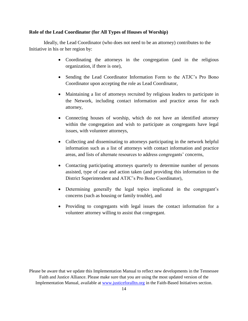#### **Role of the Lead Coordinator (for All Types of Houses of Worship)**

Ideally, the Lead Coordinator (who does not need to be an attorney) contributes to the Initiative in his or her region by:

- Coordinating the attorneys in the congregation (and in the religious organization, if there is one),
- Sending the Lead Coordinator Information Form to the ATJC's Pro Bono Coordinator upon accepting the role as Lead Coordinator,
- Maintaining a list of attorneys recruited by religious leaders to participate in the Network, including contact information and practice areas for each attorney,
- Connecting houses of worship, which do not have an identified attorney within the congregation and wish to participate as congregants have legal issues, with volunteer attorneys,
- Collecting and disseminating to attorneys participating in the network helpful information such as a list of attorneys with contact information and practice areas, and lists of alternate resources to address congregants' concerns,
- Contacting participating attorneys quarterly to determine number of persons assisted, type of case and action taken (and providing this information to the District Superintendent and ATJC's Pro Bono Coordinator),
- Determining generally the legal topics implicated in the congregant's concerns (such as housing or family trouble), and
- Providing to congregants with legal issues the contact information for a volunteer attorney willing to assist that congregant.

Please be aware that we update this Implementation Manual to reflect new developments in the Tennessee Faith and Justice Alliance. Please make sure that you are using the most updated version of the Implementation Manual, available at www.justiceforalltn.org in the Faith-Based Initiatives section.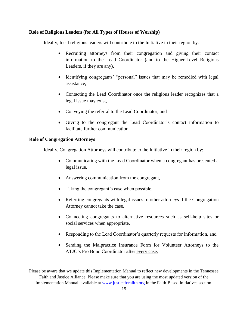### **Role of Religious Leaders (for All Types of Houses of Worship)**

Ideally, local religious leaders will contribute to the Initiative in their region by:

- Recruiting attorneys from their congregation and giving their contact information to the Lead Coordinator (and to the Higher-Level Religious Leaders, if they are any),
- Identifying congregants' "personal" issues that may be remedied with legal assistance,
- Contacting the Lead Coordinator once the religious leader recognizes that a legal issue may exist,
- Conveying the referral to the Lead Coordinator, and
- Giving to the congregant the Lead Coordinator's contact information to facilitate further communication.

### **Role of Congregation Attorneys**

Ideally, Congregation Attorneys will contribute to the Initiative in their region by:

- Communicating with the Lead Coordinator when a congregant has presented a legal issue,
- Answering communication from the congregant,
- Taking the congregant's case when possible,
- Referring congregants with legal issues to other attorneys if the Congregation Attorney cannot take the case,
- Connecting congregants to alternative resources such as self-help sites or social services when appropriate,
- Responding to the Lead Coordinator's quarterly requests for information, and
- Sending the Malpractice Insurance Form for Volunteer Attorneys to the ATJC's Pro Bono Coordinator after every case.

Please be aware that we update this Implementation Manual to reflect new developments in the Tennessee Faith and Justice Alliance. Please make sure that you are using the most updated version of the Implementation Manual, available at www.justiceforalltn.org in the Faith-Based Initiatives section.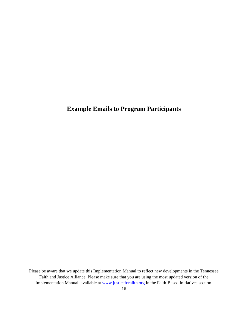# **Example Emails to Program Participants**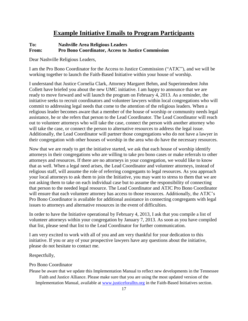### **Example Initiative Emails to Program Participants**

### **To: Nashville Area Religious Leaders From: Pro Bono Coordinator, Access to Justice Commission**

Dear Nashville Religious Leaders,

I am the Pro Bono Coordinator for the Access to Justice Commission ("ATJC"), and we will be working together to launch the Faith-Based Initiative within your house of worship.

I understand that Justice Cornelia Clark, Attorney Margaret Behm, and Superintendent John Collett have briefed you about the new UMC initiative. I am happy to announce that we are ready to move forward and will launch the program on February 4, 2013. As a reminder, the initiative seeks to recruit coordinators and volunteer lawyers within local congregations who will commit to addressing legal needs that come to the attention of the religious leaders. When a religious leader becomes aware that a member of the house of worship or community needs legal assistance, he or she refers that person to the Lead Coordinator. The Lead Coordinator will reach out to volunteer attorneys who will take the case, connect the person with another attorney who will take the case, or connect the person to alternative resources to address the legal issue. Additionally, the Lead Coordinator will partner those congregations who do not have a lawyer in their congregation with other houses of worship in the area who do have the necessary resources.

Now that we are ready to get the initiative started, we ask that each house of worship identify attorneys in their congregations who are willing to take pro bono cases or make referrals to other attorneys and resources. If there are no attorneys in your congregation, we would like to know that as well. When a legal need arises, the Lead Coordinator and volunteer attorneys, instead of religious staff, will assume the role of referring congregants to legal resources. As you approach your local attorneys to ask them to join the Initiative, you may want to stress to them that we are not asking them to take on each individual case but to assume the responsibility of connecting that person to the needed legal resource. The Lead Coordinator and ATJC Pro Bono Coordinator will ensure that each volunteer attorney has access to those resources. Additionally, the ATJC's Pro Bono Coordinator is available for additional assistance in connecting congregants with legal issues to attorneys and alternative resources in the event of difficulties.

In order to have the Initiative operational by February 4, 2013, I ask that you compile a list of volunteer attorneys within your congregation by January 7, 2013. As soon as you have compiled that list, please send that list to the Lead Coordinator for further communication.

I am very excited to work with all of you and am very thankful for your dedication to this initiative. If you or any of your prospective lawyers have any questions about the initiative, please do not hesitate to contact me.

Respectfully,

#### Pro Bono Coordinator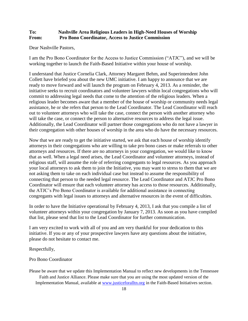### **To: Nashville Area Religious Leaders in High-Need Houses of Worship From: Pro Bono Coordinator, Access to Justice Commission**

Dear Nashville Pastors,

I am the Pro Bono Coordinator for the Access to Justice Commission ("ATJC"), and we will be working together to launch the Faith-Based Initiative within your house of worship.

I understand that Justice Cornelia Clark, Attorney Margaret Behm, and Superintendent John Collett have briefed you about the new UMC initiative. I am happy to announce that we are ready to move forward and will launch the program on February 4, 2013. As a reminder, the initiative seeks to recruit coordinators and volunteer lawyers within local congregations who will commit to addressing legal needs that come to the attention of the religious leaders. When a religious leader becomes aware that a member of the house of worship or community needs legal assistance, he or she refers that person to the Lead Coordinator. The Lead Coordinator will reach out to volunteer attorneys who will take the case, connect the person with another attorney who will take the case, or connect the person to alternative resources to address the legal issue. Additionally, the Lead Coordinator will partner those congregations who do not have a lawyer in their congregation with other houses of worship in the area who do have the necessary resources.

Now that we are ready to get the initiative started, we ask that each house of worship identify attorneys in their congregations who are willing to take pro bono cases or make referrals to other attorneys and resources. If there are no attorneys in your congregation, we would like to know that as well. When a legal need arises, the Lead Coordinator and volunteer attorneys, instead of religious staff, will assume the role of referring congregants to legal resources. As you approach your local attorneys to ask them to join the Initiative, you may want to stress to them that we are not asking them to take on each individual case but instead to assume the responsibility of connecting that person to the needed legal resource. The Lead Coordinator and ATJC Pro Bono Coordinator will ensure that each volunteer attorney has access to those resources. Additionally, the ATJC's Pro Bono Coordinator is available for additional assistance in connecting congregants with legal issues to attorneys and alternative resources in the event of difficulties.

In order to have the Initiative operational by February 4, 2013, I ask that you compile a list of volunteer attorneys within your congregation by January 7, 2013. As soon as you have compiled that list, please send that list to the Lead Coordinator for further communication.

I am very excited to work with all of you and am very thankful for your dedication to this initiative. If you or any of your prospective lawyers have any questions about the initiative, please do not hesitate to contact me.

Respectfully,

Pro Bono Coordinator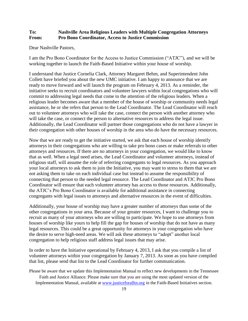### **To: Nashville Area Religious Leaders with Multiple Congregation Attorneys From: Pro Bono Coordinator, Access to Justice Commission**

Dear Nashville Pastors,

I am the Pro Bono Coordinator for the Access to Justice Commission ("ATJC"), and we will be working together to launch the Faith-Based Initiative within your house of worship.

I understand that Justice Cornelia Clark, Attorney Margaret Behm, and Superintendent John Collett have briefed you about the new UMC initiative. I am happy to announce that we are ready to move forward and will launch the program on February 4, 2013. As a reminder, the initiative seeks to recruit coordinators and volunteer lawyers within local congregations who will commit to addressing legal needs that come to the attention of the religious leaders. When a religious leader becomes aware that a member of the house of worship or community needs legal assistance, he or she refers that person to the Lead Coordinator. The Lead Coordinator will reach out to volunteer attorneys who will take the case, connect the person with another attorney who will take the case, or connect the person to alternative resources to address the legal issue. Additionally, the Lead Coordinator will partner those congregations who do not have a lawyer in their congregation with other houses of worship in the area who do have the necessary resources.

Now that we are ready to get the initiative started, we ask that each house of worship identify attorneys in their congregations who are willing to take pro bono cases or make referrals to other attorneys and resources. If there are no attorneys in your congregation, we would like to know that as well. When a legal need arises, the Lead Coordinator and volunteer attorneys, instead of religious staff, will assume the role of referring congregants to legal resources. As you approach your local attorneys to ask them to join the Initiative, you may want to stress to them that we are not asking them to take on each individual case but instead to assume the responsibility of connecting that person to the needed legal resource. The Lead Coordinator and ATJC Pro Bono Coordinator will ensure that each volunteer attorney has access to those resources. Additionally, the ATJC's Pro Bono Coordinator is available for additional assistance in connecting congregants with legal issues to attorneys and alternative resources in the event of difficulties.

Additionally, your house of worship may have a greater number of attorneys than some of the other congregations in your area. Because of your greater resources, I want to challenge you to recruit as many of your attorneys who are willing to participate. We hope to use attorneys from houses of worship like yours to help fill the gap for houses of worship that do not have as many legal resources. This could be a great opportunity for attorneys in your congregation who have the desire to serve high-need areas. We will ask these attorneys to "adopt" another local congregation to help religious staff address legal issues that may arise.

In order to have the Initiative operational by February 4, 2013, I ask that you compile a list of volunteer attorneys within your congregation by January 7, 2013. As soon as you have compiled that list, please send that list to the Lead Coordinator for further communication.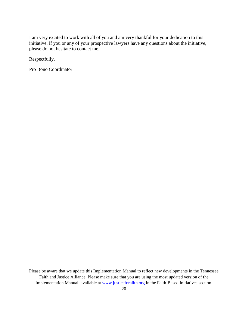I am very excited to work with all of you and am very thankful for your dedication to this initiative. If you or any of your prospective lawyers have any questions about the initiative, please do not hesitate to contact me. Ī

Respectfully,

Pro Bono Coordinator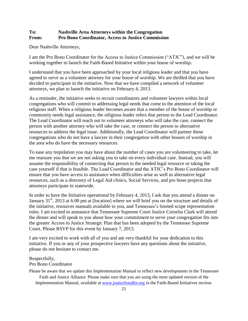### **To: Nashville Area Attorneys within the Congregation From: Pro Bono Coordinator, Access to Justice Commission**

Dear Nashville Attorneys,

I am the Pro Bono Coordinator for the Access to Justice Commission ("ATJC"), and we will be working together to launch the Faith-Based Initiative within your house of worship.

I understand that you have been approached by your local religious leader and that you have agreed to serve as a volunteer attorney for your house of worship. We are thrilled that you have decided to participate in the initiative. Now that we have compiled a network of volunteer attorneys, we plan to launch the initiative on February 4, 2013.

As a reminder, the initiative seeks to recruit coordinators and volunteer lawyers within local congregations who will commit to addressing legal needs that come to the attention of the local religious staff. When a religious leader becomes aware that a member of the house of worship or community needs legal assistance, the religious leader refers that person to the Lead Coordinator. The Lead Coordinator will reach out to volunteer attorneys who will take the case, connect the person with another attorney who will take the case, or connect the person to alternative resources to address the legal issue. Additionally, the Lead Coordinator will partner those congregations who do not have a lawyer in their congregation with other houses of worship in the area who do have the necessary resources.

To ease any trepidation you may have about the number of cases you are volunteering to take, let me reassure you that we are not asking you to take on every individual case. Instead, you will assume the responsibility of connecting that person to the needed legal resource or taking the case yourself if that is feasible. The Lead Coordinator and the ATJC's Pro Bono Coordinator will ensure that you have access to assistance when difficulties arise as well as alternative legal resources, such as a directory of Legal Aid clinics, Social Services, and pro bono projects that attorneys participate in statewide.

In order to have the Initiative operational by February 4, 2013, I ask that you attend a dinner on January 31<sup>st</sup>, 2013 at 6:00 pm at [location] where we will brief you on the structure and details of the initiative, resources manuals available to you, and Tennessee's limited scope representation rules. I am excited to announce that Tennessee Supreme Court Justice Cornelia Clark will attend the dinner and will speak to you about how your commitment to serve your congregation fits into the greater Access to Justice Strategic Plan that has been adopted by the Tennessee Supreme Court. Please RSVP for this event by January 7, 2013.

I am very excited to work with all of you and am very thankful for your dedication to this initiative. If you or any of your prospective lawyers have any questions about the initiative, please do not hesitate to contact me.

# Respectfully,

### Pro Bono Coordinator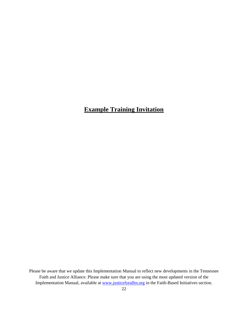# **Example Training Invitation**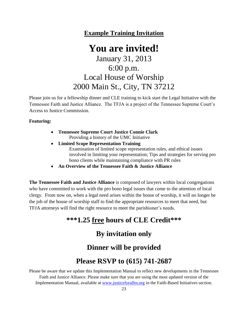### **Example Training Invitation**

# **You are invited!** January 31, 2013 6:00 p.m. Local House of Worship 2000 Main St., City, TN 37212

Please join us for a fellowship dinner and CLE training to kick start the Legal Initiative with the Tennessee Faith and Justice Alliance. The TFJA is a project of the Tennessee Supreme Court's Access to Justice Commission.

### **Featuring:**

- **Tennessee Supreme Court Justice Connie Clark** Providing a history of the UMC Initiative
- **Limited Scope Representation Training** Examination of limited scope representation rules, and ethical issues involved in limiting your representation; Tips and strategies for serving pro bono clients while maintaining compliance with PR rules
- **An Overview of the Tennessee Faith & Justice Alliance**

**The Tennessee Faith and Justice Alliance** is composed of lawyers within local congregations who have committed to work with the pro bono legal issues that come to the attention of local clergy. From now on, when a legal need arises within the house of worship, it will no longer be the job of the house of worship staff to find the appropriate resources to meet that need, but TFJA attorneys will find the right resource to meet the parishioner's needs.

# **\*\*\*1.25 free hours of CLE Credit\*\*\***

# **By invitation only**

# **Dinner will be provided**

# **Please RSVP to (615) 741-2687**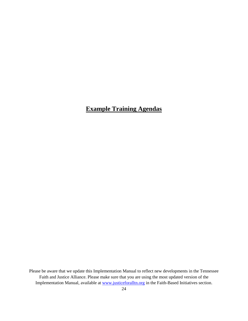# **Example Training Agendas**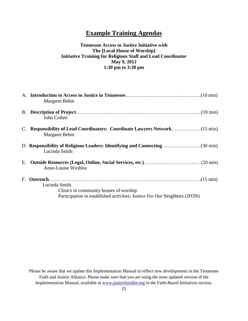### **Example Training Agendas**

### **Tennessee Access to Justice Initiative with The [Local House of Worship] Initiative Training for Religious Staff and Lead Coordinator May 9, 2012 1:30 pm to 3:30 pm**

| Margaret Behm                                                                                                                        |
|--------------------------------------------------------------------------------------------------------------------------------------|
| John Collett                                                                                                                         |
| Margaret Behm                                                                                                                        |
| Lucinda Smith                                                                                                                        |
| Anne-Louise Wirthlin                                                                                                                 |
| Lucinda Smith<br>Clinics in community houses of worship<br>Participation in established activities: Justice For Our Neighbors (JFON) |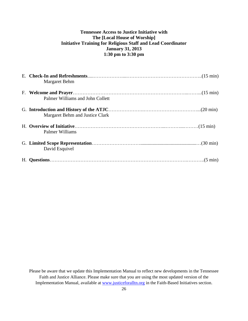### **Tennessee Access to Justice Initiative with The [Local House of Worship] Initiative Training for Religious Staff and Lead Coordinator January 31, 2013 1:30 pm to 3:30 pm**

| Margaret Behm                    |
|----------------------------------|
|                                  |
| Palmer Williams and John Collett |
| Margaret Behm and Justice Clark  |
| Palmer Williams                  |
| David Esquivel                   |
|                                  |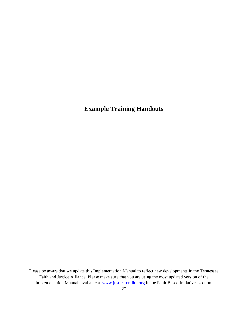# **Example Training Handouts**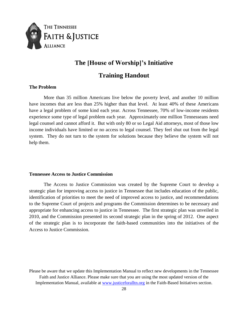

### **The [House of Worship]'s Initiative**

### **Training Handout**

### **The Problem**

More than 35 million Americans live below the poverty level, and another 10 million have incomes that are less than 25% higher than that level. At least 40% of these Americans have a legal problem of some kind each year. Across Tennessee, 70% of low-income residents experience some type of legal problem each year. Approximately one million Tennesseans need legal counsel and cannot afford it. But with only 80 or so Legal Aid attorneys, most of those low income individuals have limited or no access to legal counsel. They feel shut out from the legal system. They do not turn to the system for solutions because they believe the system will not help them.

### **Tennessee Access to Justice Commission**

The Access to Justice Commission was created by the Supreme Court to develop a strategic plan for improving access to justice in Tennessee that includes education of the public, identification of priorities to meet the need of improved access to justice, and recommendations to the Supreme Court of projects and programs the Commission determines to be necessary and appropriate for enhancing access to justice in Tennessee. The first strategic plan was unveiled in 2010, and the Commission presented its second strategic plan in the spring of 2012. One aspect of the strategic plan is to incorporate the faith-based communities into the initiatives of the Access to Justice Commission.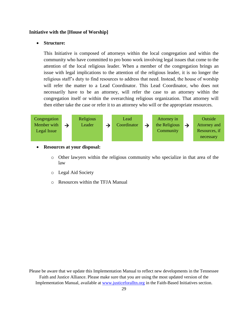### **Initiative with the [House of Worship]**

### **Structure:**

This Initiative is composed of attorneys within the local congregation and within the community who have committed to pro bono work involving legal issues that come to the attention of the local religious leader. When a member of the congregation brings an issue with legal implications to the attention of the religious leader, it is no longer the religious staff's duty to find resources to address that need. Instead, the house of worship will refer the matter to a Lead Coordinator. This Lead Coordinator, who does not necessarily have to be an attorney, will refer the case to an attorney within the congregation itself or within the overarching religious organization. That attorney will then either take the case or refer it to an attorney who will or the appropriate resources.



**Resources at your disposal:** 

- o Other lawyers within the religious community who specialize in that area of the law
- o Legal Aid Society
- o Resources within the TFJA Manual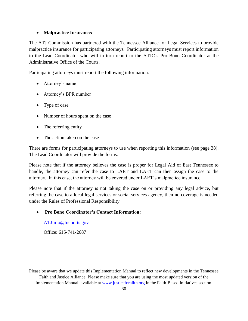### **Malpractice Insurance:**

The ATJ Commission has partnered with the Tennessee Alliance for Legal Services to provide malpractice insurance for participating attorneys. Participating attorneys must report information to the Lead Coordinator who will in turn report to the ATJC's Pro Bono Coordinator at the Administrative Office of the Courts.

Participating attorneys must report the following information.

- Attorney's name
- Attorney's BPR number
- Type of case
- Number of hours spent on the case
- The referring entity
- The action taken on the case

There are forms for participating attorneys to use when reporting this information (see page 38). The Lead Coordinator will provide the forms.

Please note that if the attorney believes the case is proper for Legal Aid of East Tennessee to handle, the attorney can refer the case to LAET and LAET can then assign the case to the attorney. In this case, the attorney will be covered under LAET's malpractice insurance.

Please note that if the attorney is not taking the case on or providing any legal advice, but referring the case to a local legal services or social services agency, then no coverage is needed under the Rules of Professional Responsibility.

### **Pro Bono Coordinator's Contact Information:**

[ATJInfo@tncourts.gov](mailto:ATJInfo@tncourts.gov)

Office: 615-741-2687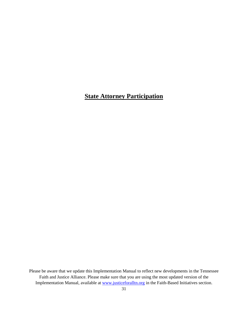# **State Attorney Participation**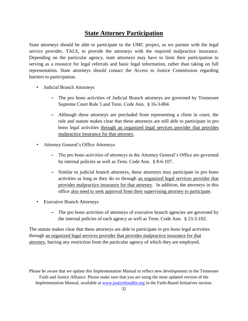### **State Attorney Participation**

State attorneys should be able to participate in the UMC project, as we partner with the legal service provider, TALS, to provide the attorneys with the required malpractice insurance. Depending on the particular agency, state attorneys may have to limit their participation to serving as a resource for legal referrals and basic legal information, rather than taking on full representation. State attorneys should contact the Access to Justice Commission regarding barriers to participation.

- Judicial Branch Attorneys
	- The pro bono activities of Judicial Branch attorneys are governed by Tennessee Supreme Court Rule 5 and Tenn. Code Ann. § 16-3-804.
	- Although these attorneys are precluded from representing a client in court, the rule and statute makes clear that these attorneys are still able to participate in pro bono legal activities through an organized legal services provider that provides malpractice insurance for that attorney.
- Attorney General's Office Attorneys
	- The pro bono activities of attorneys in the Attorney General's Office are governed by internal policies as well as Tenn. Code Ann. § 8-6-107.
	- Similar to judicial branch attorneys, these attorneys may participate in pro bono activities as long as they do so through an organized legal services provider that provides malpractice insurance for that attorney. In addition, the attorneys in this office also need to seek approval from their supervising attorney to participate.
- Executive Branch Attorneys
	- The pro bono activities of attorneys of executive branch agencies are governed by the internal policies of each agency as well as Tenn. Code Ann. § 23-3-102.

The statute makes clear that these attorneys are able to participate in pro bono legal activities through an organized legal services provider that provides malpractice insurance for that attorney, barring any restriction from the particular agency of which they are employed.

Please be aware that we update this Implementation Manual to reflect new developments in the Tennessee Faith and Justice Alliance. Please make sure that you are using the most updated version of the Implementation Manual, available at www.justiceforalltn.org in the Faith-Based Initiatives section.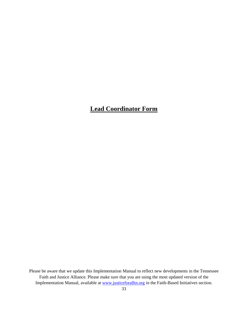# **Lead Coordinator Form**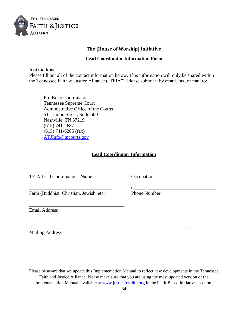

### **The [House of Worship] Initiative**

### **Lead Coordinator Information Form**

### **Instructions**

Please fill out all of the contact information below. This information will only be shared within the Tennessee Faith & Justice Alliance ("TFJA"). Please submit it by email, fax, or mail to:

Pro Bono Coordinator Tennessee Supreme Court Administrative Office of the Courts 511 Union Street, Suite 600 Nashville, TN 37219 (615) 741-2687 (615) 741-6285 (fax) [ATJInfo@tncourts.gov](mailto:ATJInfo@tncourts.gov)

### **Lead Coordinator Information**

\_\_\_\_\_\_\_\_\_\_\_\_\_\_\_\_\_\_\_\_\_\_\_\_\_\_\_\_\_\_\_\_\_\_ \_\_\_\_\_\_\_\_\_\_\_\_\_\_\_\_\_\_\_\_\_\_\_\_\_\_\_\_\_\_\_\_\_\_\_\_

TFJA Lead Coordinator's Name Occupation

Faith (Buddhist, Christian, Jewish, etc.) Phone Number

\_\_\_\_\_\_\_\_\_\_\_\_\_\_\_\_\_\_\_\_\_\_\_\_\_\_\_\_\_\_\_\_\_\_\_\_\_\_\_

 $\qquad\qquad\qquad\qquad\qquad\qquad (\underline{\qquad\qquad})\qquad\qquad\qquad\qquad$ 

Email Address

Mailing Address

Please be aware that we update this Implementation Manual to reflect new developments in the Tennessee Faith and Justice Alliance. Please make sure that you are using the most updated version of the Implementation Manual, available at www.justiceforalltn.org in the Faith-Based Initiatives section.

\_\_\_\_\_\_\_\_\_\_\_\_\_\_\_\_\_\_\_\_\_\_\_\_\_\_\_\_\_\_\_\_\_\_\_\_\_\_\_\_\_\_\_\_\_\_\_\_\_\_\_\_\_\_\_\_\_\_\_\_\_\_\_\_\_\_\_\_\_\_\_\_\_\_\_\_\_\_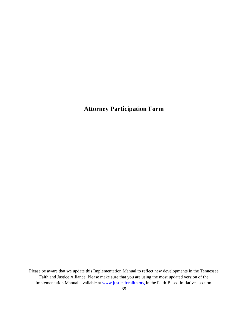# **Attorney Participation Form**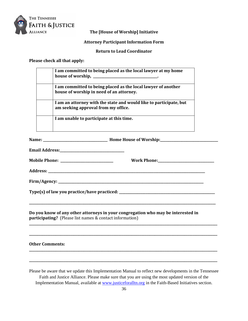

### **The [House of Worship] Initiative**

### **Attorney Participant Information Form**

**Return to Lead Coordinator**

### **Please check all that apply:**

| I am committed to being placed as the local lawyer at my home<br>house of worship,                        |
|-----------------------------------------------------------------------------------------------------------|
| I am committed to being placed as the local lawyer of another<br>house of worship in need of an attorney. |
| I am an attorney with the state and would like to participate, but<br>am seeking approval from my office. |
| I am unable to participate at this time.                                                                  |
|                                                                                                           |

**Name: \_\_\_\_\_\_\_\_\_\_\_\_\_\_\_\_\_\_\_\_\_\_\_\_\_\_\_\_\_\_\_\_\_\_\_\_\_\_\_ Home House of Worship:\_\_\_\_\_\_\_\_\_\_\_\_\_\_\_\_\_\_\_\_\_\_\_\_\_\_\_\_\_\_\_\_\_\_\_**

**Address: \_\_\_\_\_\_\_\_\_\_\_\_\_\_\_\_\_\_\_\_\_\_\_\_\_\_\_\_\_\_\_\_\_\_\_\_\_\_\_\_\_\_\_\_\_\_\_\_\_\_\_\_\_\_\_\_\_\_\_\_\_\_\_\_\_\_\_\_\_\_\_\_\_\_\_\_\_\_\_\_\_\_\_\_\_\_\_\_\_\_\_\_\_\_\_** 

**Email Address:\_\_\_\_\_\_\_\_\_\_\_\_\_\_\_\_\_\_\_\_\_\_\_\_\_\_\_\_\_\_\_\_\_\_\_\_\_\_\_**

| <b>Mobile Phone:</b> | <b>Work Phone:</b> |
|----------------------|--------------------|
|                      |                    |

| <b>Work Phone:</b> |  |
|--------------------|--|
|--------------------|--|

**Firm/Agency: \_\_\_\_\_\_\_\_\_\_\_\_\_\_\_\_\_\_\_\_\_\_\_\_\_\_\_\_\_\_\_\_\_\_\_\_\_\_\_\_\_\_\_\_\_\_\_\_\_\_\_\_\_\_\_\_\_\_\_\_\_\_\_\_\_\_\_\_\_\_\_\_\_\_\_\_\_\_\_\_\_\_\_\_\_\_\_\_**

**Type(s) of law you practice/have practiced: \_\_\_\_\_\_\_\_\_\_\_\_\_\_\_\_\_\_\_\_\_\_\_\_\_\_\_\_\_\_\_\_\_\_\_\_\_\_\_\_\_\_\_\_\_\_\_\_\_\_\_\_\_\_\_\_\_\_**

**Do you know of any other attorneys in your congregation who may be interested in participating?** (Please list names & contact information)

**\_\_\_\_\_\_\_\_\_\_\_\_\_\_\_\_\_\_\_\_\_\_\_\_\_\_\_\_\_\_\_\_\_\_\_\_\_\_\_\_\_\_\_\_\_\_\_\_\_\_\_\_\_\_\_\_\_\_\_\_\_\_\_\_\_\_\_\_\_\_\_\_\_\_\_\_\_\_\_\_\_\_\_\_\_\_\_\_\_\_\_\_\_\_\_\_\_\_\_\_\_\_\_\_\_\_\_\_\_\_\_\_\_**

**\_\_\_\_\_\_\_\_\_\_\_\_\_\_\_\_\_\_\_\_\_\_\_\_\_\_\_\_\_\_\_\_\_\_\_\_\_\_\_\_\_\_\_\_\_\_\_\_\_\_\_\_\_\_\_\_\_\_\_\_\_\_\_\_\_\_\_\_\_\_\_\_\_\_\_\_\_\_\_\_\_\_\_\_\_\_\_\_\_\_\_\_\_\_\_\_\_\_\_\_\_\_\_\_\_\_\_\_\_\_\_\_\_\_**

**\_\_\_\_\_\_\_\_\_\_\_\_\_\_\_\_\_\_\_\_\_\_\_\_\_\_\_\_\_\_\_\_\_\_\_\_\_\_\_\_\_\_\_\_\_\_\_\_\_\_\_\_\_\_\_\_\_\_\_\_\_\_\_\_\_\_\_\_\_\_\_\_\_\_\_\_\_\_\_\_\_\_\_\_\_\_\_\_\_\_\_\_\_\_\_\_\_\_\_\_\_\_\_\_\_\_\_\_\_\_\_\_\_\_**

**\_\_\_\_\_\_\_\_\_\_\_\_\_\_\_\_\_\_\_\_\_\_\_\_\_\_\_\_\_\_\_\_\_\_\_\_\_\_\_\_\_\_\_\_\_\_\_\_\_\_\_\_\_\_\_\_\_\_\_\_\_\_\_\_\_\_\_\_\_\_\_\_\_\_\_\_\_\_\_\_\_\_\_\_\_\_\_\_\_\_\_\_\_\_\_\_\_\_\_\_\_\_\_\_\_\_\_\_\_\_\_\_\_\_**

**\_\_\_\_\_\_\_\_\_\_\_\_\_\_\_\_\_\_\_\_\_\_\_\_\_\_\_\_\_\_\_\_\_\_\_\_\_\_\_\_\_\_\_\_\_\_\_\_\_\_\_\_\_\_\_\_\_\_\_\_\_\_\_\_\_\_\_\_\_\_\_\_\_\_\_\_\_\_\_\_\_\_\_\_\_\_\_\_\_\_\_\_\_\_\_\_\_\_\_\_\_\_\_\_\_\_\_\_\_\_\_\_\_\_**

**Other Comments:**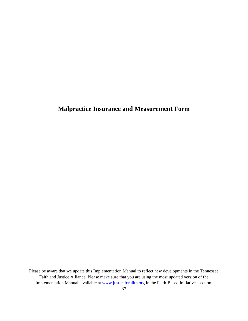# **Malpractice Insurance and Measurement Form**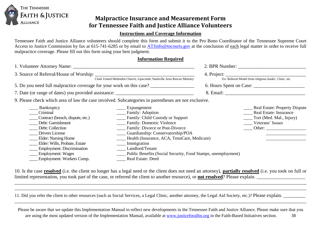

### **Malpractice Insurance and Measurement Form for Tennessee Faith and Justice Alliance Volunteers**

### **Instructions and Coverage Information**

Tennessee Faith and Justice Alliance volunteers should complete this form and submit it to the Pro Bono Coordinator of the Tennessee Supreme Court Access to Justice Commission by fax at 615-741-6285 or by email to [ATJinfo@tncourts.gov](mailto:ATJinfo@tncourts.gov) at the conclusion of each legal matter in order to receive full malpractice coverage. Please fill out this form using your best judgment.

### **Information Required**

|                                                                                                                                                                                                                                                                                     | 4. Project:<br>Ex: Referral Model from religious leader, Clinic, etc.                                                                                                                                                                                                                                                                                                        |  |                                                                                                                          |  |
|-------------------------------------------------------------------------------------------------------------------------------------------------------------------------------------------------------------------------------------------------------------------------------------|------------------------------------------------------------------------------------------------------------------------------------------------------------------------------------------------------------------------------------------------------------------------------------------------------------------------------------------------------------------------------|--|--------------------------------------------------------------------------------------------------------------------------|--|
| Clark United Methodist Church, Lipscomb, Nashville Area Rescue Ministry                                                                                                                                                                                                             |                                                                                                                                                                                                                                                                                                                                                                              |  |                                                                                                                          |  |
| 5. Do you need full malpractice coverage for your work on this case?                                                                                                                                                                                                                |                                                                                                                                                                                                                                                                                                                                                                              |  |                                                                                                                          |  |
| 7. Date (or range of dates) you provided assistance: ____________________________                                                                                                                                                                                                   |                                                                                                                                                                                                                                                                                                                                                                              |  |                                                                                                                          |  |
| 9. Please check which area of law the case involved. Subcategories in parentheses are not exclusive.                                                                                                                                                                                |                                                                                                                                                                                                                                                                                                                                                                              |  |                                                                                                                          |  |
| Bankruptcy<br>Criminal<br>Contract (breach, dispute, etc.)<br>Debt: Garnishment<br>Debt: Collection<br>Drivers License<br><b>Elder:</b> Nursing Home<br>Elder: Wills, Probate, Estate<br><b>Employment: Discrimination</b><br><b>Employment: Wages</b><br>Employment: Workers Comp. | ____ Expungement<br>____ Family: Adoption<br>____ Family: Child Custody or Support<br>____ Family: Domestic Violence<br>____ Family: Divorce or Post-Divorce<br>Cuardianship: Conservatorship/POA<br>Health (Insurance, ACA, TennCare, Medicare)<br>Immigration<br>Landlord/Tenant<br>____ Public Benefits (Social Security, Food Stamps, unemployment)<br>Real Estate: Deed |  | <b>Real Estate: Property Dispute</b><br>Real Estate: Insurance<br>Tort (Med. Mal., Injury)<br>Veterans' Issues<br>Other: |  |

10. Is the case **resolved** (i.e. the client no longer has a legal need or the client does not need an attorney), **partially resolved** (i.e. you took on full or limited representation, you took part of the case, or referred the client to another resource), or **not resolved**? Please explain.

\_\_\_\_\_\_\_\_\_\_\_\_\_\_\_\_\_\_\_\_\_\_\_\_\_\_\_\_\_\_\_\_\_\_\_\_\_\_\_\_\_\_\_\_\_\_\_\_\_\_\_\_\_\_\_\_\_\_\_\_\_\_\_\_\_\_\_\_\_\_\_\_\_\_\_\_\_\_\_\_\_\_\_\_\_\_\_\_\_\_\_\_\_\_\_\_\_\_\_\_\_\_\_\_\_\_\_\_\_\_\_\_\_\_\_\_\_\_\_\_ \_\_\_\_\_\_\_\_\_\_\_\_\_\_\_\_\_\_\_\_\_\_\_\_\_\_\_\_\_\_\_\_\_\_\_\_\_\_\_\_\_\_\_\_\_\_\_\_\_\_\_\_\_\_\_\_\_\_\_\_\_\_\_\_\_\_\_\_\_\_\_\_\_\_\_\_\_\_\_\_\_\_\_\_\_\_\_\_\_\_\_\_\_\_\_\_\_\_\_\_\_\_\_\_\_\_\_\_\_\_\_\_\_\_\_\_\_\_\_\_

11. Did you refer the client to other resources (such as Social Services, a Legal Clinic, another attorney, the Legal Aid Society, etc.)? Please explain.

Please be aware that we update this Implementation Manual to reflect new developments in the Tennessee Faith and Justice Alliance. Please make sure that you are using the most updated version of the Implementation Manual, available at www.justiceforalltn.org in the Faith-Based Initiatives section. 38

\_\_\_\_\_\_\_\_\_\_\_\_\_\_\_\_\_\_\_\_\_\_\_\_\_\_\_\_\_\_\_\_\_\_\_\_\_\_\_\_\_\_\_\_\_\_\_\_\_\_\_\_\_\_\_\_\_\_\_\_\_\_\_\_\_\_\_\_\_\_\_\_\_\_\_\_\_\_\_\_\_\_\_\_\_\_\_\_\_\_\_\_\_\_\_\_\_\_\_\_\_\_\_\_\_\_\_\_\_\_\_\_\_\_\_\_\_\_\_\_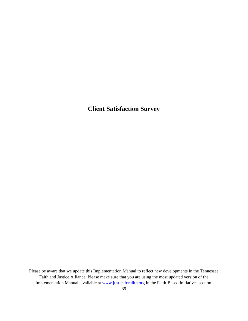# **Client Satisfaction Survey**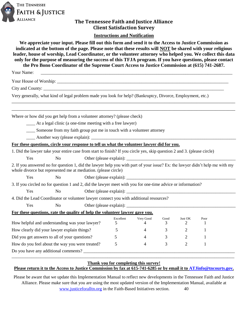

### **The Tennessee Faith and Justice Alliance Client Satisfaction Survey**

### **Instructions and Notification**

| We appreciate your input. Please fill out this form and send it to the Access to Justice Commission as<br>indicated at the bottom of the page. Please note that these results will NOT be shared with your religious<br>leader, house of worship, Lead Coordinator, or the volunteer attorney who helped you. We collect this data<br>only for the purpose of measuring the success of this TFJA program. If you have questions, please contact<br>the Pro Bono Coordinator of the Supreme Court Access to Justice Commission at (615) 741-2687. |                |  |           |           |           |                           |      |  |
|--------------------------------------------------------------------------------------------------------------------------------------------------------------------------------------------------------------------------------------------------------------------------------------------------------------------------------------------------------------------------------------------------------------------------------------------------------------------------------------------------------------------------------------------------|----------------|--|-----------|-----------|-----------|---------------------------|------|--|
| Your Name:                                                                                                                                                                                                                                                                                                                                                                                                                                                                                                                                       |                |  |           |           |           |                           |      |  |
|                                                                                                                                                                                                                                                                                                                                                                                                                                                                                                                                                  |                |  |           |           |           |                           |      |  |
|                                                                                                                                                                                                                                                                                                                                                                                                                                                                                                                                                  |                |  |           |           |           |                           |      |  |
| Very generally, what kind of legal problem made you look for help? (Bankruptcy, Divorce, Employment, etc.)                                                                                                                                                                                                                                                                                                                                                                                                                                       |                |  |           |           |           |                           |      |  |
| Where or how did you get help from a volunteer attorney? (please check)                                                                                                                                                                                                                                                                                                                                                                                                                                                                          |                |  |           |           |           |                           |      |  |
| _____ At a legal clinic (a one-time meeting with a free lawyer)                                                                                                                                                                                                                                                                                                                                                                                                                                                                                  |                |  |           |           |           |                           |      |  |
| _____ Someone from my faith group put me in touch with a volunteer attorney                                                                                                                                                                                                                                                                                                                                                                                                                                                                      |                |  |           |           |           |                           |      |  |
|                                                                                                                                                                                                                                                                                                                                                                                                                                                                                                                                                  |                |  |           |           |           |                           |      |  |
| For these questions, circle your response to tell us what the volunteer lawyer did for you.                                                                                                                                                                                                                                                                                                                                                                                                                                                      |                |  |           |           |           |                           |      |  |
| 1. Did the lawyer take your entire case from start to finish? If you circle yes, skip question 2 and 3. (please circle)                                                                                                                                                                                                                                                                                                                                                                                                                          |                |  |           |           |           |                           |      |  |
| Yes                                                                                                                                                                                                                                                                                                                                                                                                                                                                                                                                              | N <sub>0</sub> |  |           |           |           |                           |      |  |
| 2. If you answered no for question 1, did the lawyer help you with part of your issue? Ex: the lawyer didn't help me with my<br>whole divorce but represented me at mediation. (please circle)                                                                                                                                                                                                                                                                                                                                                   |                |  |           |           |           |                           |      |  |
| Yes                                                                                                                                                                                                                                                                                                                                                                                                                                                                                                                                              | N <sub>o</sub> |  |           |           |           |                           |      |  |
| 3. If you circled no for question 1 and 2, did the lawyer meet with you for one-time advice or information?                                                                                                                                                                                                                                                                                                                                                                                                                                      |                |  |           |           |           |                           |      |  |
| Yes                                                                                                                                                                                                                                                                                                                                                                                                                                                                                                                                              | N <sub>o</sub> |  |           |           |           |                           |      |  |
| 4. Did the Lead Coordinator or volunteer lawyer connect you with additional resources?                                                                                                                                                                                                                                                                                                                                                                                                                                                           |                |  |           |           |           |                           |      |  |
| Yes                                                                                                                                                                                                                                                                                                                                                                                                                                                                                                                                              | N <sub>o</sub> |  |           |           |           |                           |      |  |
| For these questions, rate the quality of help the volunteer lawyer gave you.                                                                                                                                                                                                                                                                                                                                                                                                                                                                     |                |  |           |           |           |                           |      |  |
| How helpful and understanding was your lawyer?                                                                                                                                                                                                                                                                                                                                                                                                                                                                                                   |                |  | Excellent | Very Good | Good<br>3 | Just OK<br>$\overline{2}$ | Poor |  |
|                                                                                                                                                                                                                                                                                                                                                                                                                                                                                                                                                  |                |  | 5         |           |           |                           |      |  |
| How clearly did your lawyer explain things?                                                                                                                                                                                                                                                                                                                                                                                                                                                                                                      |                |  | 5         |           | 3         | 2                         |      |  |
| Did you get answers to all of your questions?<br>How do you feel about the way you were treated?                                                                                                                                                                                                                                                                                                                                                                                                                                                 |                |  | 5         |           | 3         | 2                         |      |  |
|                                                                                                                                                                                                                                                                                                                                                                                                                                                                                                                                                  |                |  | 5         | 4         | 3         | $\overline{2}$            | 1    |  |
|                                                                                                                                                                                                                                                                                                                                                                                                                                                                                                                                                  |                |  |           |           |           |                           |      |  |

### **Thank you for completing this survey! Please return it to the Access to Justice Commission by fax at 615-741-6285 or by email it to [ATJinfo@tncourts.gov.](mailto:ATJinfo@tncourts.gov)**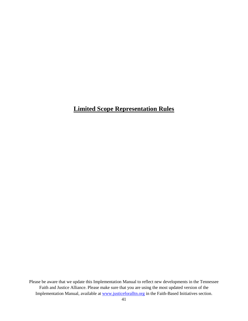# **Limited Scope Representation Rules**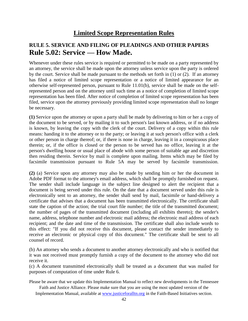# **Limited Scope Representation Rules**

# **RULE 5. SERVICE AND FILING OF PLEADINGS AND OTHER PAPERS Rule 5.02: Service — How Made.**

Whenever under these rules service is required or permitted to be made on a party represented by an attorney, the service shall be made upon the attorney unless service upon the party is ordered by the court. Service shall be made pursuant to the methods set forth in (1) or (2). If an attorney has filed a notice of limited scope representation or a notice of limited appearance for an otherwise self-represented person, pursuant to Rule 11.01(b), service shall be made on the selfrepresented person and on the attorney until such time as a notice of completion of limited scope representation has been filed. After notice of completion of limited scope representation has been filed, service upon the attorney previously providing limited scope representation shall no longer be necessary.

**(1)** Service upon the attorney or upon a party shall be made by delivering to him or her a copy of the document to be served, or by mailing it to such person's last known address, or if no address is known, by leaving the copy with the clerk of the court. Delivery of a copy within this rule means: handing it to the attorney or to the party; or leaving it at such person's office with a clerk or other person in charge thereof; or, if there is none in charge, leaving it in a conspicuous place therein; or, if the office is closed or the person to be served has no office, leaving it at the person's dwelling house or usual place of abode with some person of suitable age and discretion then residing therein. Service by mail is complete upon mailing. Items which may be filed by facsimile transmission pursuant to Rule 5A may be served by facsimile transmission.

**(2)** (a) Service upon any attorney may also be made by sending him or her the document in Adobe PDF format to the attorney's email address, which shall be promptly furnished on request. The sender shall include language in the subject line designed to alert the recipient that a document is being served under this rule. On the date that a document served under this rule is electronically sent to an attorney, the sender shall send by mail, facsimile or hand-delivery a certificate that advises that a document has been transmitted electronically. The certificate shall state the caption of the action; the trial court file number; the title of the transmitted document; the number of pages of the transmitted document (including all exhibits thereto); the sender's name, address, telephone number and electronic mail address; the electronic mail address of each recipient; and the date and time of the transmission. The certificate shall also include words to this effect: "If you did not receive this document, please contact the sender immediately to receive an electronic or physical copy of this document." The certificate shall be sent to all counsel of record.

(b) An attorney who sends a document to another attorney electronically and who is notified that it was not received must promptly furnish a copy of the document to the attorney who did not receive it.

(c) A document transmitted electronically shall be treated as a document that was mailed for purposes of computation of time under Rule 6.

Please be aware that we update this Implementation Manual to reflect new developments in the Tennessee Faith and Justice Alliance. Please make sure that you are using the most updated version of the

Implementation Manual, available at www.justiceforalltn.org in the Faith-Based Initiatives section.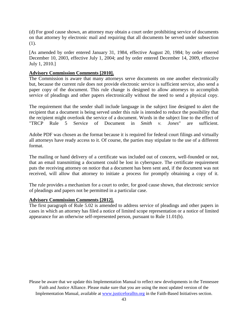(d) For good cause shown, an attorney may obtain a court order prohibiting service of documents on that attorney by electronic mail and requiring that all documents be served under subsection (1).

[As amended by order entered January 31, 1984, effective August 20, 1984; by order entered December 10, 2003, effective July 1, 2004; and by order entered December 14, 2009, effective July 1, 2010.]

### **Advisory Commission Comments [2010].**

The Commission is aware that many attorneys serve documents on one another electronically but, because the current rule does not provide electronic service is sufficient service, also send a paper copy of the document. This rule change is designed to allow attorneys to accomplish service of pleadings and other papers electronically without the need to send a physical copy.

The requirement that the sender shall include language in the subject line designed to alert the recipient that a document is being served under this rule is intended to reduce the possibility that the recipient might overlook the service of a document. Words in the subject line to the effect of "TRCP Rule 5 Service of Document in *Smith v. Jones*" are sufficient.

Adobe PDF was chosen as the format because it is required for federal court filings and virtually all attorneys have ready access to it. Of course, the parties may stipulate to the use of a different format.

The mailing or hand delivery of a certificate was included out of concern, well-founded or not, that an email transmitting a document could be lost in cyberspace. The certificate requirement puts the receiving attorney on notice that a document has been sent and, if the document was not received, will allow that attorney to initiate a process for promptly obtaining a copy of it.

The rule provides a mechanism for a court to order, for good cause shown, that electronic service of pleadings and papers not be permitted in a particular case.

### **Advisory Commission Comments [2012].**

The first paragraph of Rule 5.02 is amended to address service of pleadings and other papers in cases in which an attorney has filed a notice of limited scope representation or a notice of limited appearance for an otherwise self-represented person, pursuant to Rule 11.01(b).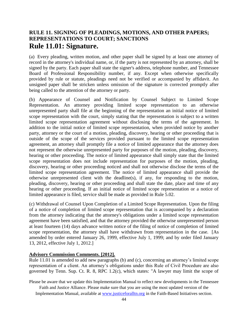### **RULE 11. SIGNING OF PLEADINGS, MOTIONS, AND OTHER PAPERS; REPRESENTATIONS TO COURT; SANCTIONS Rule 11.01: Signature.**

(a) Every pleading, written motion, and other paper shall be signed by at least one attorney of record in the attorney's individual name, or, if the party is not represented by an attorney, shall be signed by the party. Each paper shall state the signer's address, telephone number, and Tennessee Board of Professional Responsibility number, if any. Except when otherwise specifically provided by rule or statute, pleadings need not be verified or accompanied by affidavit. An unsigned paper shall be stricken unless omission of the signature is corrected promptly after being called to the attention of the attorney or party.

(b) Appearance of Counsel and Notification by Counsel Subject to Limited Scope Representation. An attorney providing limited scope representation to an otherwise unrepresented party shall file at the beginning of the representation an initial notice of limited scope representation with the court, simply stating that the representation is subject to a written limited scope representation agreement without disclosing the terms of the agreement. In addition to the initial notice of limited scope representation, when provided notice by another party, attorney or the court of a motion, pleading, discovery, hearing or other proceeding that is outside of the scope of the services provided pursuant to the limited scope representation agreement, an attorney shall promptly file a notice of limited appearance that the attorney does not represent the otherwise unrepresented party for purposes of the motion, pleading, discovery, hearing or other proceeding. The notice of limited appearance shall simply state that the limited scope representation does not include representation for purposes of the motion, pleading, discovery, hearing or other proceeding noticed and shall not otherwise disclose the terms of the limited scope representation agreement. The notice of limited appearance shall provide the otherwise unrepresented client with the deadline(s), if any, for responding to the motion, pleading, discovery, hearing or other proceeding and shall state the date, place and time of any hearing or other proceeding. If an initial notice of limited scope representation or a notice of limited appearance is filed, service shall be made as provided in Rule 5.02.

(c) Withdrawal of Counsel Upon Completion of a Limited Scope Representation. Upon the filing of a notice of completion of limited scope representation that is accompanied by a declaration from the attorney indicating that the attorney's obligations under a limited scope representation agreement have been satisfied, and that the attorney provided the otherwise unrepresented person at least fourteen (14) days advance written notice of the filing of notice of completion of limited scope representation, the attorney shall have withdrawn from representation in the case. [As amended by order entered January 26, 1999, effective July 1, 1999; and by order filed January 13, 2012, effective July 1, 2012.]

### **Advisory Commission Comments. [2012].**

Rule 11.01 is amended to add new paragraphs (b) and (c), concerning an attorney's limited scope representation of a client. An attorney's obligations under this Rule of Civil Procedure are also governed by Tenn. Sup. Ct. R. 8, RPC 1.2(c), which states: "A lawyer may limit the scope of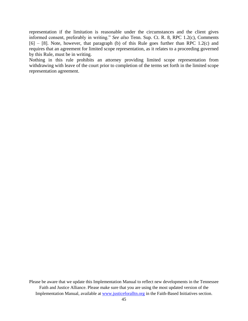representation if the limitation is reasonable under the circumstances and the client gives informed consent, preferably in writing." *See also* Tenn. Sup. Ct. R. 8, RPC 1.2(c), Comments  $[6]$  –  $[8]$ . Note, however, that paragraph (b) of this Rule goes further than RPC 1.2(c) and requires that an agreement for limited scope representation, as it relates to a proceeding governed by this Rule, must be in writing.

Nothing in this rule prohibits an attorney providing limited scope representation from withdrawing with leave of the court prior to completion of the terms set forth in the limited scope representation agreement.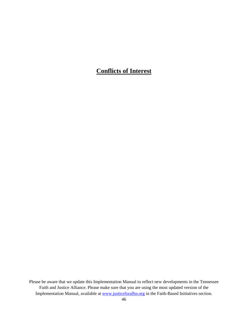# **Conflicts of Interest**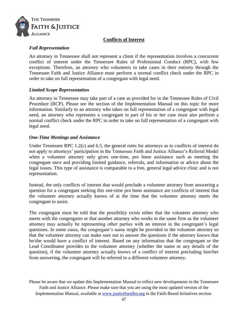

### **Conflicts of Interest**

### *Full Representation*

An attorney in Tennessee shall not represent a client if the representation involves a concurrent conflict of interest under the Tennessee Rules of Professional Conduct (RPC), with few exceptions. Therefore, an attorney who volunteers to take cases in their entirety through the Tennessee Faith and Justice Alliance must perform a normal conflict check under the RPC in order to take on full representation of a congregant with legal need.

### *Limited Scope Representation*

An attorney in Tennessee may take part of a case as provided for in the Tennessee Rules of Civil Procedure (RCP). Please see the section of the Implementation Manual on this topic for more information. Similarly to an attorney who takes on full representation of a congregant with legal need, an attorney who represents a congregant in part of his or her case must also perform a normal conflict check under the RPC in order to take on full representation of a congregant with legal need.

### *One-Time Meetings and Assistance*

Under Tennessee RPC 1.2(c) and 6.5, the general rules for attorneys as to conflicts of interest do not apply to attorneys' participation in the Tennessee Faith and Justice Alliance's Referral Model when a volunteer attorney only gives one-time, pro bono assistance such as meeting the congregant once and providing limited guidance, referrals, and information or advice about the legal issues. This type of assistance is comparable to a free, general legal advice clinic and is not representation.

Instead, the only conflicts of interest that would preclude a volunteer attorney from answering a question for a congregant seeking this one-time pro bono assistance are conflicts of interest that the volunteer attorney actually knows of at the time that the volunteer attorney meets the congregant to assist.

The congregant must be told that the possibility exists either that the volunteer attorney who meets with the congregants or that another attorney who works in the same firm as the volunteer attorney may actually be representing other parties with an interest in the congregant's legal questions. In some cases, the congregant's name might be provided to the volunteer attorney so that the volunteer attorney can make sure not to answer the questions if the attorney knows that he/she would have a conflict of interest. Based on any information that the congregant or the Lead Coordinator provides to the volunteer attorney (whether the name or any details of the question), if the volunteer attorney actually knows of a conflict of interest precluding him/her from answering, the congregant will be referred to a different volunteer attorney.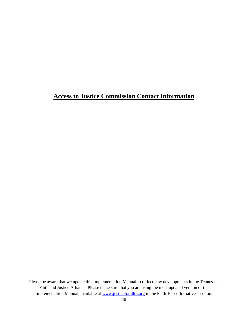# **Access to Justice Commission Contact Information**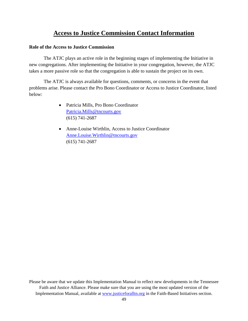# **Access to Justice Commission Contact Information**

### **Role of the Access to Justice Commission**

The ATJC plays an active role in the beginning stages of implementing the Initiative in new congregations. After implementing the Initiative in your congregation, however, the ATJC takes a more passive role so that the congregation is able to sustain the project on its own.

The ATJC is always available for questions, comments, or concerns in the event that problems arise. Please contact the Pro Bono Coordinator or Access to Justice Coordinator, listed below:

- Patricia Mills, Pro Bono Coordinator [Patricia.Mills@tncourts.gov](mailto:Christian.Donaldson@tncourts.gov) (615) 741-2687
- Anne-Louise Wirthlin, Access to Justice Coordinator [Anne.Louise.Wirthlin@tncourts.gov](mailto:Anne.Louise.Wirthlin@tncourts.gov) (615) 741-2687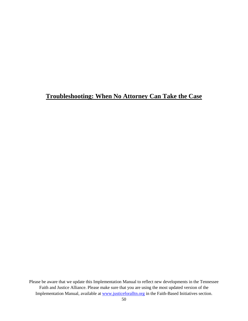# **Troubleshooting: When No Attorney Can Take the Case**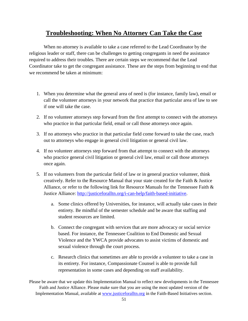# **Troubleshooting: When No Attorney Can Take the Case**

When no attorney is available to take a case referred to the Lead Coordinator by the religious leader or staff, there can be challenges to getting congregants in need the assistance required to address their troubles. There are certain steps we recommend that the Lead Coordinator take to get the congregant assistance. These are the steps from beginning to end that we recommend be taken at minimum:

- 1. When you determine what the general area of need is (for instance, family law), email or call the volunteer attorneys in your network that practice that particular area of law to see if one will take the case.
- 2. If no volunteer attorneys step forward from the first attempt to connect with the attorneys who practice in that particular field, email or call those attorneys once again.
- 3. If no attorneys who practice in that particular field come forward to take the case, reach out to attorneys who engage in general civil litigation or general civil law.
- 4. If no volunteer attorneys step forward from that attempt to connect with the attorneys who practice general civil litigation or general civil law, email or call those attorneys once again.
- 5. If no volunteers from the particular field of law or in general practice volunteer, think creatively. Refer to the Resource Manual that your state created for the Faith & Justice Alliance, or refer to the following link for Resource Manuals for the Tennessee Faith & Justice Alliance: [http://justiceforalltn.org/i-can-help/faith-based-initiative.](http://justiceforalltn.org/i-can-help/faith-based-initiative)
	- a. Some clinics offered by Universities, for instance, will actually take cases in their entirety. Be mindful of the semester schedule and be aware that staffing and student resources are limited.
	- b. Connect the congregant with services that are more advocacy or social service based. For instance, the Tennessee Coalition to End Domestic and Sexual Violence and the YWCA provide advocates to assist victims of domestic and sexual violence through the court process.
	- c. Research clinics that sometimes are able to provide a volunteer to take a case in its entirety. For instance, Compassionate Counsel is able to provide full representation in some cases and depending on staff availability.

Please be aware that we update this Implementation Manual to reflect new developments in the Tennessee Faith and Justice Alliance. Please make sure that you are using the most updated version of the Implementation Manual, available at www.justiceforalltn.org in the Faith-Based Initiatives section.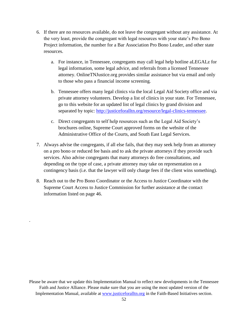- 6. If there are no resources available, do not leave the congregant without any assistance. At the very least, provide the congregant with legal resources with your state's Pro Bono Project information, the number for a Bar Association Pro Bono Leader, and other state resources.
	- a. For instance, in Tennessee, congregants may call legal help hotline aLEGALz for legal information, some legal advice, and referrals from a licensed Tennessee attorney. OnlineTNJustice.org provides similar assistance but via email and only to those who pass a financial income screening.
	- b. Tennessee offers many legal clinics via the local Legal Aid Society office and via private attorney volunteers. Develop a list of clinics in your state. For Tennessee, go to this website for an updated list of legal clinics by grand division and separated by topic: [http://justiceforalltn.org/resource/legal-clinics-tennessee.](http://justiceforalltn.org/resource/legal-clinics-tennessee)
	- c. Direct congregants to self help resources such as the Legal Aid Society's brochures online, Supreme Court approved forms on the website of the Administrative Office of the Courts, and South East Legal Services.
- 7. Always advise the congregants, if all else fails, that they may seek help from an attorney on a pro bono or reduced fee basis and to ask the private attorneys if they provide such services. Also advise congregants that many attorneys do free consultations, and depending on the type of case, a private attorney may take on representation on a contingency basis (i.e. that the lawyer will only charge fees if the client wins something).
- 8. Reach out to the Pro Bono Coordinator or the Access to Justice Coordinator with the Supreme Court Access to Justice Commission for further assistance at the contact information listed on page 46.

.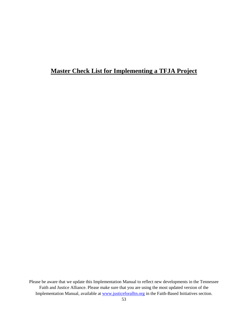# **Master Check List for Implementing a TFJA Project**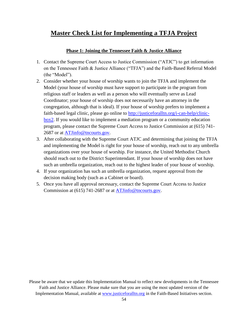# **Master Check List for Implementing a TFJA Project**

### **Phase 1: Joining the Tennessee Faith & Justice Alliance**

- 1. Contact the Supreme Court Access to Justice Commission ("ATJC") to get information on the Tennessee Faith & Justice Alliance ("TFJA") and the Faith-Based Referral Model (the "Model").
- 2. Consider whether your house of worship wants to join the TFJA and implement the Model (your house of worship must have support to participate in the program from religious staff or leaders as well as a person who will eventually serve as Lead Coordinator; your house of worship does not necessarily have an attorney in the congregation, although that is ideal). If your house of worship prefers to implement a faith-based legal clinic, please go online to [http://justiceforalltn.org/i-can-help/clinic](http://justiceforalltn.org/i-can-help/clinic-box2)[box2.](http://justiceforalltn.org/i-can-help/clinic-box2) If you would like to implement a mediation program or a community education program, please contact the Supreme Court Access to Justice Commission at (615) 741- 2687 or at [ATJinfo@tncourts.gov.](mailto:ATJinfo@tncourts.gov)
- 3. After collaborating with the Supreme Court ATJC and determining that joining the TFJA and implementing the Model is right for your house of worship, reach out to any umbrella organizations over your house of worship. For instance, the United Methodist Church should reach out to the District Superintendant. If your house of worship does not have such an umbrella organization, reach out to the highest leader of your house of worship.
- 4. If your organization has such an umbrella organization, request approval from the decision making body (such as a Cabinet or board).
- 5. Once you have all approval necessary, contact the Supreme Court Access to Justice Commission at (615) 741-2687 or at [ATJinfo@tncourts.gov.](mailto:ATJinfo@tncourts.gov)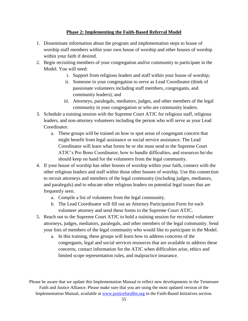### **Phase 2: Implementing the Faith-Based Referral Model**

- 1. Disseminate information about the program and implementation steps to house of worship staff members within your own house of worship and other houses of worship within your faith if desired.
- 2. Begin recruiting members of your congregation and/or community to participate in the Model. You will need:
	- i. Support from religious leaders and staff within your house of worship;
	- ii. Someone in your congregation to serve as Lead Coordinator (think of passionate volunteers including staff members, congregants, and community leaders); and
	- iii. Attorneys, paralegals, mediators, judges, and other members of the legal community in your congregation or who are community leaders.
- 3. Schedule a training session with the Supreme Court ATJC for religious staff, religious leaders, and non-attorney volunteers including the person who will serve as your Lead Coordinator.
	- a. These groups will be trained on how to spot areas of congregant concern that might benefit from legal assistance or social service assistance. The Lead Coordinator will learn what forms he or she must send to the Supreme Court ATJC's Pro Bono Coordinator, how to handle difficulties, and resources he/she should keep on hand for the volunteers from the legal community.
- 4. If your house of worship has other houses of worship within your faith, connect with the other religious leaders and staff within those other houses of worship. Use this connection to recruit attorneys and members of the legal community (including judges, mediators, and paralegals) and to educate other religious leaders on potential legal issues that are frequently seen.
	- a. Compile a list of volunteers from the legal community.
	- b. The Lead Coordinator will fill out an Attorney Participation Form for each volunteer attorney and send these forms to the Supreme Court ATJC.
- 5. Reach out to the Supreme Court ATJC to hold a training session for recruited volunteer attorneys, judges, mediators, paralegals, and other members of the legal community. Send your lists of members of the legal community who would like to participate in the Model.
	- a. In this training, these groups will learn how to address concerns of the congregants, legal and social services resources that are available to address these concerns, contact information for the ATJC when difficulties arise, ethics and limited scope representation rules, and malpractice insurance.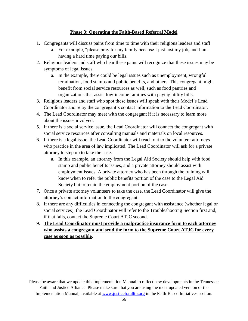### **Phase 3: Operating the Faith-Based Referral Model**

- 1. Congregants will discuss pains from time to time with their religious leaders and staff
	- a. For example, "please pray for my family because I just lost my job, and I am having a hard time paying our bills.
- 2. Religious leaders and staff who hear these pains will recognize that these issues may be symptoms of legal issues.
	- a. In the example, there could be legal issues such as unemployment, wrongful termination, food stamps and public benefits, and others. This congregant might benefit from social service resources as well, such as food pantries and organizations that assist low-income families with paying utility bills.
- 3. Religious leaders and staff who spot these issues will speak with their Model's Lead Coordinator and relay the congregant's contact information to the Lead Coordinator.
- 4. The Lead Coordinator may meet with the congregant if it is necessary to learn more about the issues involved.
- 5. If there is a social service issue, the Lead Coordinator will connect the congregant with social service resources after consulting manuals and materials on local resources.
- 6. If there is a legal issue, the Lead Coordinator will reach out to the volunteer attorneys who practice in the area of law implicated. The Lead Coordinator will ask for a private attorney to step up to take the case.
	- a. In this example, an attorney from the Legal Aid Society should help with food stamp and public benefits issues, and a private attorney should assist with employment issues. A private attorney who has been through the training will know when to refer the public benefits portion of the case to the Legal Aid Society but to retain the employment portion of the case.
- 7. Once a private attorney volunteers to take the case, the Lead Coordinator will give the attorney's contact information to the congregant.
- 8. If there are any difficulties in connecting the congregant with assistance (whether legal or social services), the Lead Coordinator will refer to the Troubleshooting Section first and, if that fails, contact the Supreme Court ATJC second.
- 9. **The Lead Coordinator must provide a malpractice insurance form to each attorney who assists a congregant and send the form to the Supreme Court ATJC for every case as soon as possible**.

Please be aware that we update this Implementation Manual to reflect new developments in the Tennessee Faith and Justice Alliance. Please make sure that you are using the most updated version of the Implementation Manual, available at www.justiceforalltn.org in the Faith-Based Initiatives section.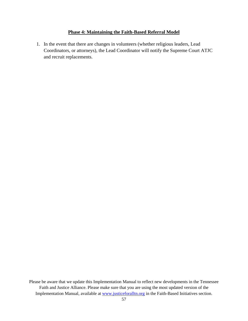### **Phase 4: Maintaining the Faith-Based Referral Model**

1. In the event that there are changes in volunteers (whether religious leaders, Lead Coordinators, or attorneys), the Lead Coordinator will notify the Supreme Court ATJC and recruit replacements.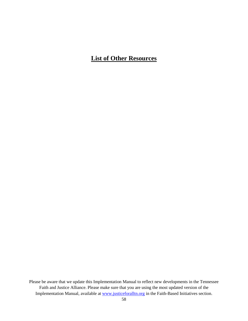# **List of Other Resources**